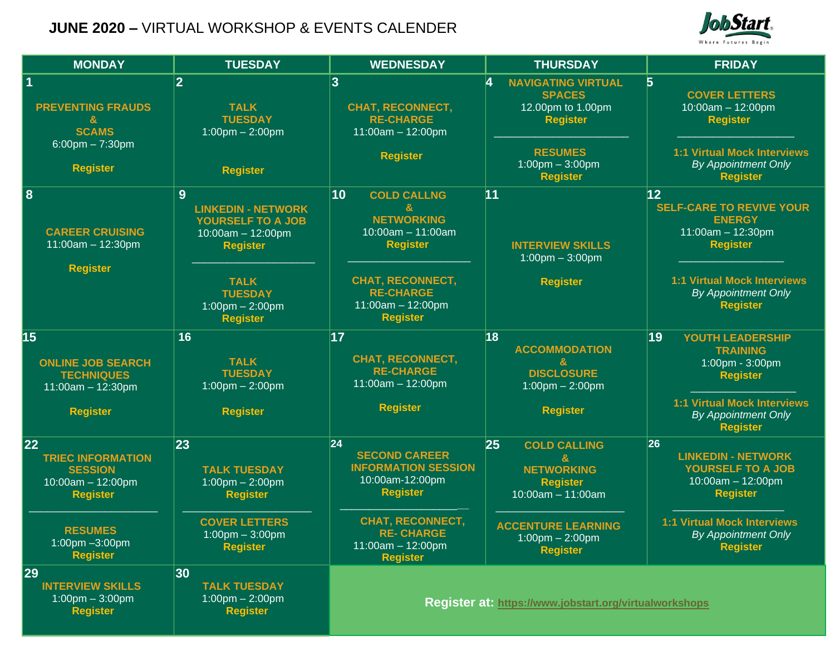## **JUNE 2020 –** VIRTUAL WORKSHOP & EVENTS CALENDER



| <b>MONDAY</b>                                                                                                                                      | <b>TUESDAY</b>                                                                                                                                                             | <b>WEDNESDAY</b>                                                                                                                                                                         | <b>THURSDAY</b>                                                                                                                                                               | <b>FRIDAY</b>                                                                                                                                                                           |
|----------------------------------------------------------------------------------------------------------------------------------------------------|----------------------------------------------------------------------------------------------------------------------------------------------------------------------------|------------------------------------------------------------------------------------------------------------------------------------------------------------------------------------------|-------------------------------------------------------------------------------------------------------------------------------------------------------------------------------|-----------------------------------------------------------------------------------------------------------------------------------------------------------------------------------------|
| <b>PREVENTING FRAUDS</b><br>&<br><b>SCAMS</b><br>$6:00$ pm $- 7:30$ pm<br><b>Register</b>                                                          | $\overline{2}$<br><b>TALK</b><br><b>TUESDAY</b><br>$1:00$ pm $- 2:00$ pm<br><b>Register</b>                                                                                | 3<br><b>CHAT, RECONNECT,</b><br><b>RE-CHARGE</b><br>$11:00am - 12:00pm$<br><b>Register</b>                                                                                               | 4<br><b>NAVIGATING VIRTUAL</b><br><b>SPACES</b><br>12.00pm to 1.00pm<br><b>Register</b><br><b>RESUMES</b><br>$1:00$ pm $-3:00$ pm<br><b>Register</b>                          | $\overline{5}$<br><b>COVER LETTERS</b><br>$10:00am - 12:00pm$<br><b>Register</b><br><b>1:1 Virtual Mock Interviews</b><br><b>By Appointment Only</b><br><b>Register</b>                 |
| 8<br><b>CAREER CRUISING</b><br>$11:00am - 12:30pm$<br><b>Register</b>                                                                              | 9<br><b>LINKEDIN - NETWORK</b><br>YOURSELF TO A JOB<br>$10:00am - 12:00pm$<br><b>Register</b><br><b>TALK</b><br><b>TUESDAY</b><br>$1:00$ pm $- 2:00$ pm<br><b>Register</b> | 10<br><b>COLD CALLNG</b><br><b>NETWORKING</b><br>$10:00am - 11:00am$<br><b>Register</b><br><b>CHAT, RECONNECT,</b><br><b>RE-CHARGE</b><br>$11:00am - 12:00pm$<br><b>Register</b>         | 11<br><b>INTERVIEW SKILLS</b><br>$1:00$ pm $-3:00$ pm<br><b>Register</b>                                                                                                      | 12<br><b>SELF-CARE TO REVIVE YOUR</b><br><b>ENERGY</b><br>$11:00am - 12:30pm$<br><b>Register</b><br><b>1:1 Virtual Mock Interviews</b><br><b>By Appointment Only</b><br><b>Register</b> |
| 15<br><b>ONLINE JOB SEARCH</b><br><b>TECHNIQUES</b><br>$11:00am - 12:30pm$<br><b>Register</b>                                                      | 16<br><b>TALK</b><br><b>TUESDAY</b><br>$1:00$ pm $- 2:00$ pm<br><b>Register</b>                                                                                            | 17<br><b>CHAT, RECONNECT,</b><br><b>RE-CHARGE</b><br>$11:00am - 12:00pm$<br><b>Register</b>                                                                                              | 18<br><b>ACCOMMODATION</b><br>$\mathbf{g}$<br><b>DISCLOSURE</b><br>$1:00$ pm $- 2:00$ pm<br><b>Register</b>                                                                   | 19<br>YOUTH LEADERSHIP<br><b>TRAINING</b><br>1:00pm - 3:00pm<br><b>Register</b><br><b>1:1 Virtual Mock Interviews</b><br><b>By Appointment Only</b><br><b>Register</b>                  |
| 22<br><b>TRIEC INFORMATION</b><br><b>SESSION</b><br>$10:00am - 12:00pm$<br><b>Register</b><br><b>RESUMES</b><br>1:00pm - 3:00pm<br><b>Register</b> | 23<br><b>TALK TUESDAY</b><br>$1:00$ pm $- 2:00$ pm<br><b>Register</b><br><b>COVER LETTERS</b><br>$1:00$ pm $-3:00$ pm<br><b>Register</b>                                   | 24 <br><b>SECOND CAREER</b><br><b>INFORMATION SESSION</b><br>10:00am-12:00pm<br><b>Register</b><br><b>CHAT, RECONNECT,</b><br><b>RE-CHARGE</b><br>$11:00am - 12:00pm$<br><b>Register</b> | 25<br><b>COLD CALLING</b><br><b>NETWORKING</b><br><b>Register</b><br>$10:00am - 11:00am$<br><b>ACCENTURE LEARNING</b><br>$1:00 \text{pm} - 2:00 \text{pm}$<br><b>Register</b> | 26 <br><b>LINKEDIN - NETWORK</b><br>YOURSELF TO A JOB<br>10:00am - 12:00pm<br><b>Register</b><br><b>1:1 Virtual Mock Interviews</b><br><b>By Appointment Only</b><br><b>Register</b>    |
| 29<br><b>INTERVIEW SKILLS</b><br>$1:00 \text{pm} - 3:00 \text{pm}$<br><b>Register</b>                                                              | 30<br><b>TALK TUESDAY</b><br>$1:00$ pm $- 2:00$ pm<br><b>Register</b>                                                                                                      |                                                                                                                                                                                          | <b>Register at: https://www.jobstart.org/virtualworkshops</b>                                                                                                                 |                                                                                                                                                                                         |